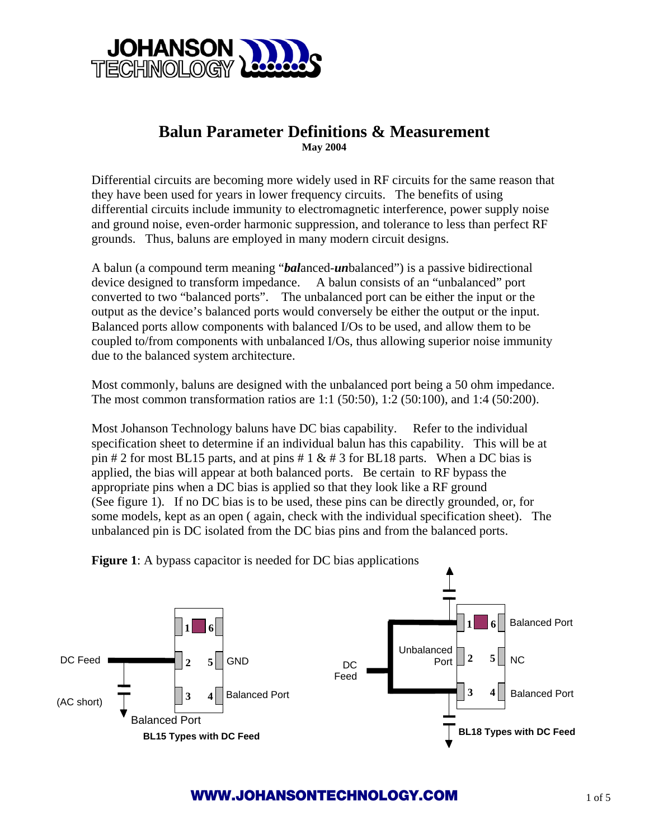

## **Balun Parameter Definitions & Measurement May 2004**

Differential circuits are becoming more widely used in RF circuits for the same reason that they have been used for years in lower frequency circuits. The benefits of using differential circuits include immunity to electromagnetic interference, power supply noise and ground noise, even-order harmonic suppression, and tolerance to less than perfect RF grounds. Thus, baluns are employed in many modern circuit designs.

A balun (a compound term meaning "*bal*anced-*un*balanced") is a passive bidirectional device designed to transform impedance. A balun consists of an "unbalanced" port converted to two "balanced ports". The unbalanced port can be either the input or the output as the device's balanced ports would conversely be either the output or the input. Balanced ports allow components with balanced I/Os to be used, and allow them to be coupled to/from components with unbalanced I/Os, thus allowing superior noise immunity due to the balanced system architecture.

Most commonly, baluns are designed with the unbalanced port being a 50 ohm impedance. The most common transformation ratios are 1:1 (50:50), 1:2 (50:100), and 1:4 (50:200).

Most Johanson Technology baluns have DC bias capability. Refer to the individual specification sheet to determine if an individual balun has this capability. This will be at pin # 2 for most BL15 parts, and at pins # 1  $\&$  # 3 for BL18 parts. When a DC bias is applied, the bias will appear at both balanced ports. Be certain to RF bypass the appropriate pins when a DC bias is applied so that they look like a RF ground (See figure 1). If no DC bias is to be used, these pins can be directly grounded, or, for some models, kept as an open ( again, check with the individual specification sheet). The unbalanced pin is DC isolated from the DC bias pins and from the balanced ports.



**Figure 1**: A bypass capacitor is needed for DC bias applications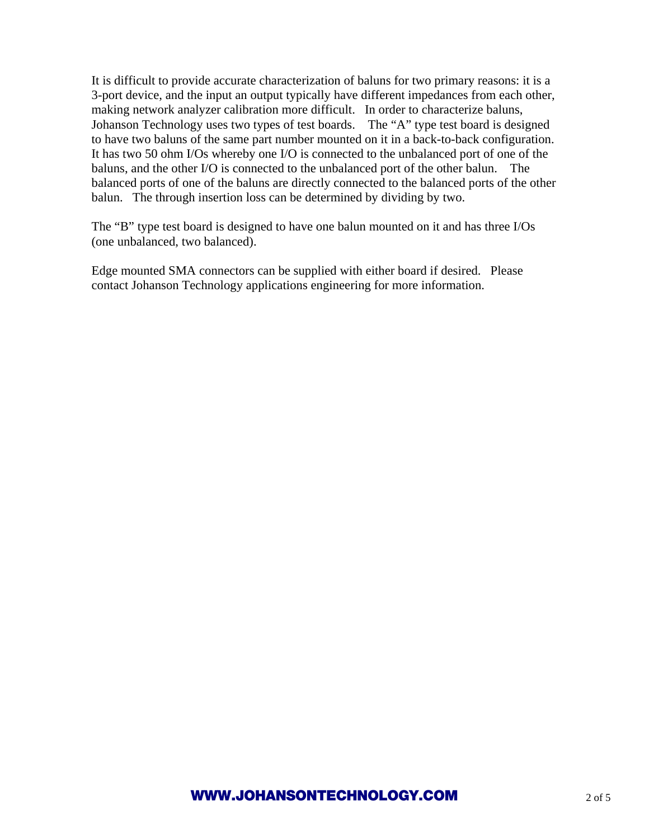It is difficult to provide accurate characterization of baluns for two primary reasons: it is a 3-port device, and the input an output typically have different impedances from each other, making network analyzer calibration more difficult. In order to characterize baluns, Johanson Technology uses two types of test boards. The "A" type test board is designed to have two baluns of the same part number mounted on it in a back-to-back configuration. It has two 50 ohm I/Os whereby one I/O is connected to the unbalanced port of one of the baluns, and the other I/O is connected to the unbalanced port of the other balun. The balanced ports of one of the baluns are directly connected to the balanced ports of the other balun. The through insertion loss can be determined by dividing by two.

The "B" type test board is designed to have one balun mounted on it and has three I/Os (one unbalanced, two balanced).

Edge mounted SMA connectors can be supplied with either board if desired. Please contact Johanson Technology applications engineering for more information.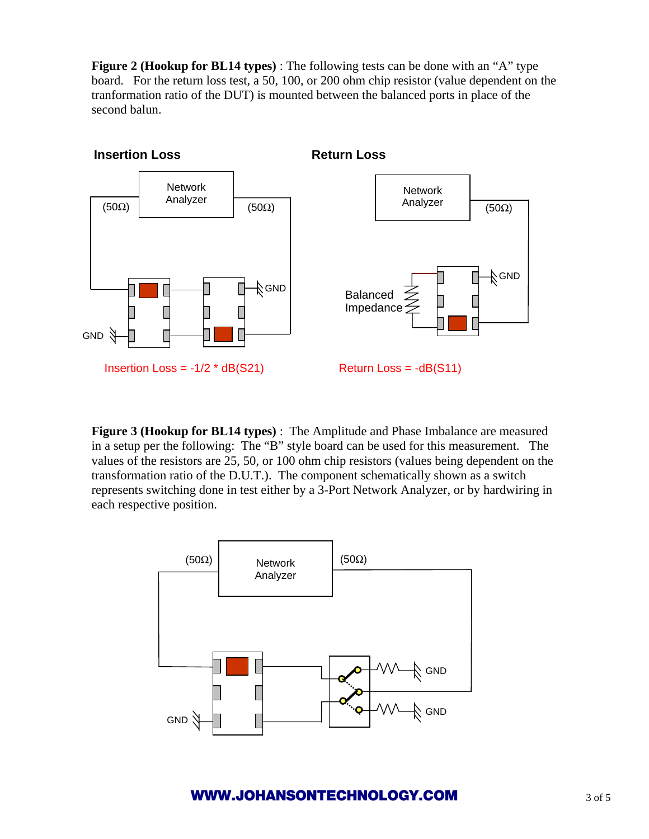**Figure 2 (Hookup for BL14 types)** : The following tests can be done with an "A" type board. For the return loss test, a 50, 100, or 200 ohm chip resistor (value dependent on the tranformation ratio of the DUT) is mounted between the balanced ports in place of the second balun.



**Figure 3 (Hookup for BL14 types)** : The Amplitude and Phase Imbalance are measured in a setup per the following: The "B" style board can be used for this measurement. The values of the resistors are 25, 50, or 100 ohm chip resistors (values being dependent on the transformation ratio of the D.U.T.). The component schematically shown as a switch represents switching done in test either by a 3-Port Network Analyzer, or by hardwiring in each respective position.



## **WWW.JOHANSONTECHNOLOGY.COM** 3 of 5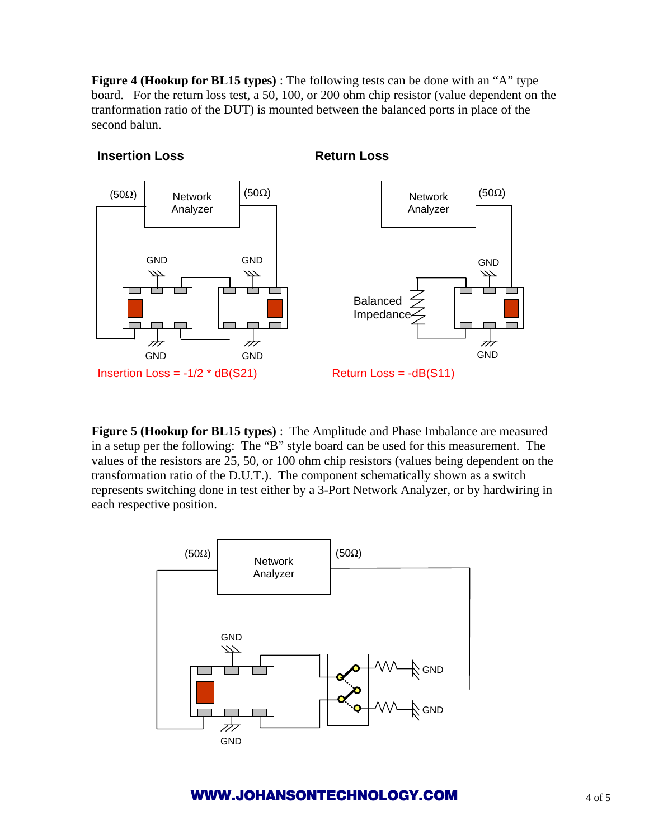**Figure 4 (Hookup for BL15 types)** : The following tests can be done with an "A" type board. For the return loss test, a 50, 100, or 200 ohm chip resistor (value dependent on the tranformation ratio of the DUT) is mounted between the balanced ports in place of the second balun.



**Figure 5 (Hookup for BL15 types)** : The Amplitude and Phase Imbalance are measured in a setup per the following: The "B" style board can be used for this measurement. The values of the resistors are 25, 50, or 100 ohm chip resistors (values being dependent on the transformation ratio of the D.U.T.). The component schematically shown as a switch represents switching done in test either by a 3-Port Network Analyzer, or by hardwiring in each respective position.



## **WWW.JOHANSONTECHNOLOGY.COM** 4 of 5